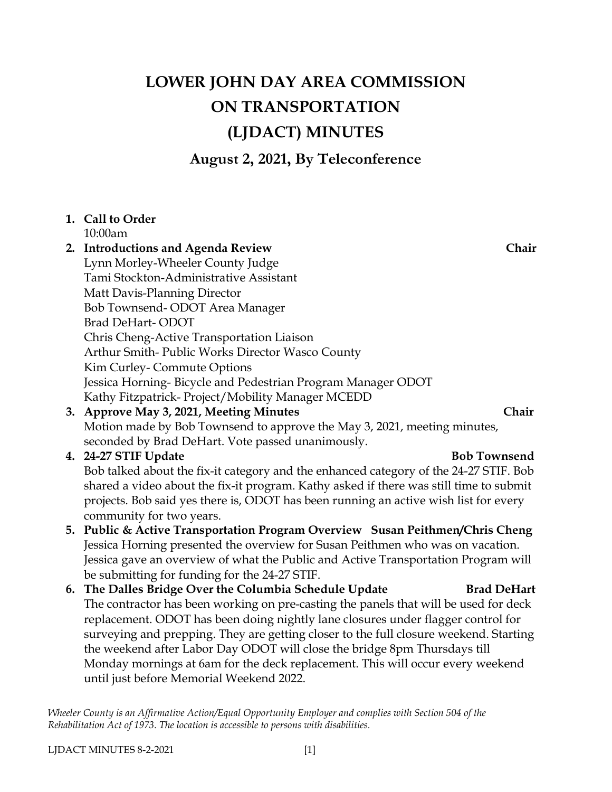# **LOWER JOHN DAY AREA COMMISSION ON TRANSPORTATION (LJDACT) MINUTES**

**August 2, 2021, By Teleconference**

### **1. Call to Order** 10:00am

**2. Introductions and Agenda Review Chair** Lynn Morley-Wheeler County Judge Tami Stockton-Administrative Assistant Matt Davis-Planning Director Bob Townsend- ODOT Area Manager Brad DeHart- ODOT Chris Cheng-Active Transportation Liaison Arthur Smith- Public Works Director Wasco County Kim Curley- Commute Options Jessica Horning- Bicycle and Pedestrian Program Manager ODOT Kathy Fitzpatrick- Project/Mobility Manager MCEDD

**3. Approve May 3, 2021, Meeting Minutes Chair** Motion made by Bob Townsend to approve the May 3, 2021, meeting minutes, seconded by Brad DeHart. Vote passed unanimously.

# **4. 24-27 STIF Update Bob Townsend**

Bob talked about the fix-it category and the enhanced category of the 24-27 STIF. Bob shared a video about the fix-it program. Kathy asked if there was still time to submit projects. Bob said yes there is, ODOT has been running an active wish list for every community for two years.

- **5. Public & Active Transportation Program Overview Susan Peithmen/Chris Cheng** Jessica Horning presented the overview for Susan Peithmen who was on vacation. Jessica gave an overview of what the Public and Active Transportation Program will be submitting for funding for the 24-27 STIF.
- **6. The Dalles Bridge Over the Columbia Schedule Update Brad DeHart** The contractor has been working on pre-casting the panels that will be used for deck replacement. ODOT has been doing nightly lane closures under flagger control for surveying and prepping. They are getting closer to the full closure weekend. Starting the weekend after Labor Day ODOT will close the bridge 8pm Thursdays till Monday mornings at 6am for the deck replacement. This will occur every weekend until just before Memorial Weekend 2022.

*Wheeler County is an Affirmative Action/Equal Opportunity Employer and complies with Section 504 of the Rehabilitation Act of 1973. The location is accessible to persons with disabilities.*